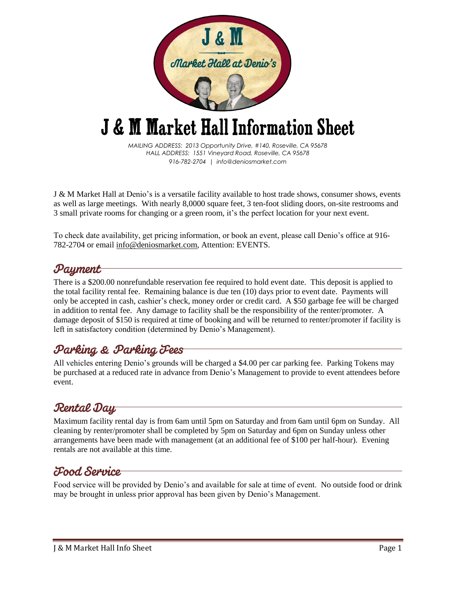

# **J & M Market Hall Information Sheet**

*MAILING ADDRESS: 2013 Opportunity Drive, #140, Roseville, CA 95678 HALL ADDRESS: 1551 Vineyard Road, Roseville, CA 95678 916-782-2704 | info@deniosmarket.com*

J & M Market Hall at Denio's is a versatile facility available to host trade shows, consumer shows, events as well as large meetings. With nearly 8,0000 square feet, 3 ten-foot sliding doors, on-site restrooms and 3 small private rooms for changing or a green room, it's the perfect location for your next event.

To check date availability, get pricing information, or book an event, please call Denio's office at 916- 782-2704 or email info@deniosmarket.com, Attention: EVENTS.

## Payment

There is a \$200.00 nonrefundable reservation fee required to hold event date. This deposit is applied to the total facility rental fee. Remaining balance is due ten (10) days prior to event date. Payments will only be accepted in cash, cashier's check, money order or credit card. A \$50 garbage fee will be charged in addition to rental fee. Any damage to facility shall be the responsibility of the renter/promoter. A damage deposit of \$150 is required at time of booking and will be returned to renter/promoter if facility is left in satisfactory condition (determined by Denio's Management).

#### Parking & Parking Fees

All vehicles entering Denio's grounds will be charged a \$4.00 per car parking fee. Parking Tokens may be purchased at a reduced rate in advance from Denio's Management to provide to event attendees before event.

# **Rental Day**

Maximum facility rental day is from 6am until 5pm on Saturday and from 6am until 6pm on Sunday. All cleaning by renter/promoter shall be completed by 5pm on Saturday and 6pm on Sunday unless other arrangements have been made with management (at an additional fee of \$100 per half-hour). Evening rentals are not available at this time.

#### Food Service

Food service will be provided by Denio's and available for sale at time of event. No outside food or drink may be brought in unless prior approval has been given by Denio's Management.